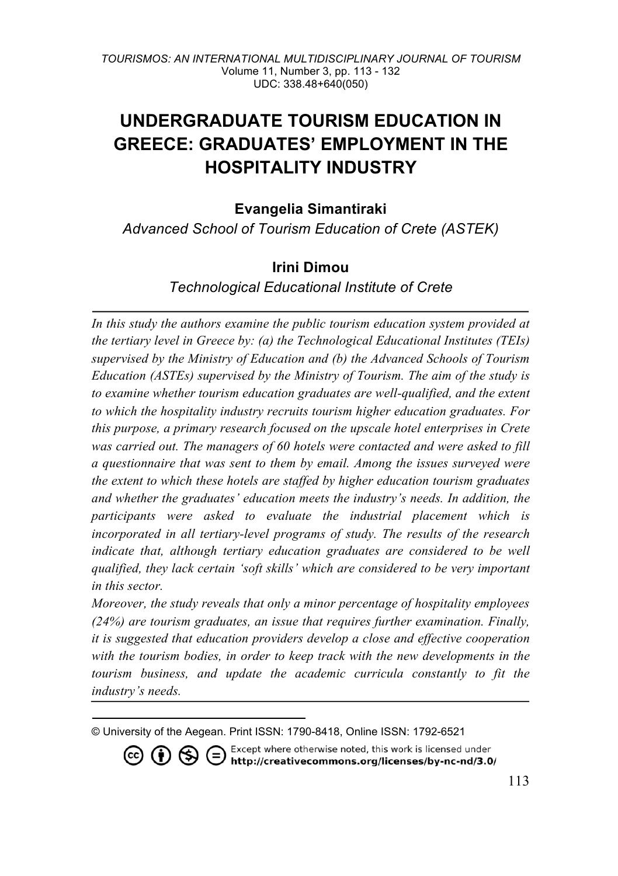# **UNDERGRADUATE TOURISM EDUCATION IN GREECE: GRADUATES' EMPLOYMENT IN THE HOSPITALITY INDUSTRY**

**Evangelia Simantiraki**

*Advanced School of Tourism Education of Crete (ASTEK)*

## **Irini Dimou**

*Technological Educational Institute of Crete*

*In this study the authors examine the public tourism education system provided at the tertiary level in Greece by: (a) the Technological Educational Institutes (TEIs) supervised by the Ministry of Education and (b) the Advanced Schools of Tourism Education (ASTEs) supervised by the Ministry of Tourism. The aim of the study is to examine whether tourism education graduates are well-qualified, and the extent to which the hospitality industry recruits tourism higher education graduates. For this purpose, a primary research focused on the upscale hotel enterprises in Crete was carried out. The managers of 60 hotels were contacted and were asked to fill a questionnaire that was sent to them by email. Among the issues surveyed were the extent to which these hotels are staffed by higher education tourism graduates and whether the graduates' education meets the industry's needs. In addition, the participants were asked to evaluate the industrial placement which is incorporated in all tertiary-level programs of study. The results of the research indicate that, although tertiary education graduates are considered to be well qualified, they lack certain 'soft skills' which are considered to be very important in this sector.* 

*Moreover, the study reveals that only a minor percentage of hospitality employees (24%) are tourism graduates, an issue that requires further examination. Finally, it is suggested that education providers develop a close and effective cooperation with the tourism bodies, in order to keep track with the new developments in the tourism business, and update the academic curricula constantly to fit the industry's needs.*

© University of the Aegean. Print ISSN: 1790-8418, Online ISSN: 1792-6521

Except where otherwise noted, this work is licensed under  $(c<sub>c</sub>)$  $\circledR \otimes \circledR$ / http://creativecommons.org/licenses/by-nc-nd/3.0/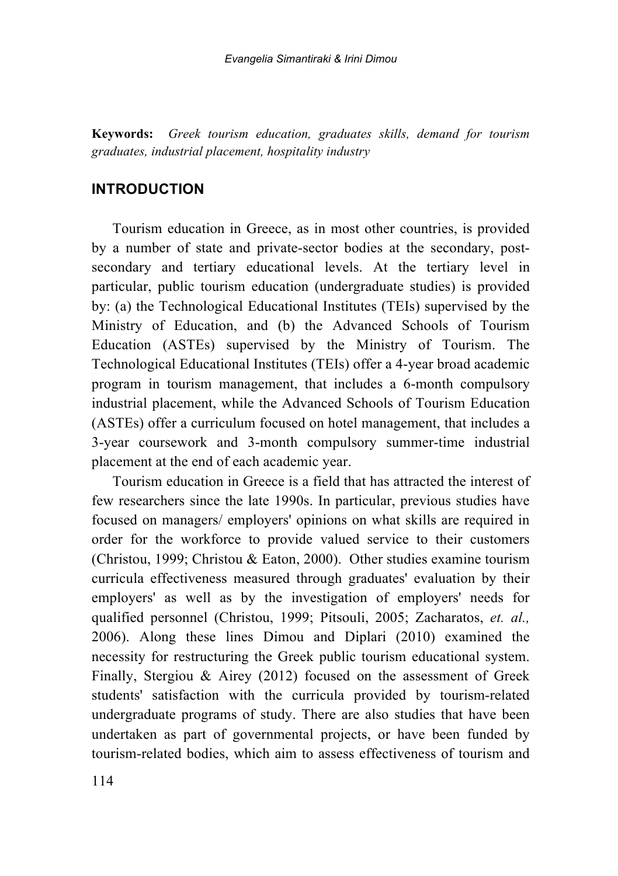**Keywords:** *Greek tourism education, graduates skills, demand for tourism graduates, industrial placement, hospitality industry*

#### **INTRODUCTION**

Tourism education in Greece, as in most other countries, is provided by a number of state and private-sector bodies at the secondary, postsecondary and tertiary educational levels. At the tertiary level in particular, public tourism education (undergraduate studies) is provided by: (a) the Technological Educational Institutes (TEIs) supervised by the Ministry of Education, and (b) the Advanced Schools of Tourism Education (ASTEs) supervised by the Ministry of Tourism. The Technological Educational Institutes (TEIs) offer a 4-year broad academic program in tourism management, that includes a 6-month compulsory industrial placement, while the Advanced Schools of Tourism Education (ASTEs) offer a curriculum focused on hotel management, that includes a 3-year coursework and 3-month compulsory summer-time industrial placement at the end of each academic year.

Tourism education in Greece is a field that has attracted the interest of few researchers since the late 1990s. In particular, previous studies have focused on managers/ employers' opinions on what skills are required in order for the workforce to provide valued service to their customers (Christou, 1999; Christou & Eaton, 2000). Other studies examine tourism curricula effectiveness measured through graduates' evaluation by their employers' as well as by the investigation of employers' needs for qualified personnel (Christou, 1999; Pitsouli, 2005; Zacharatos, *et. al.,* 2006). Along these lines Dimou and Diplari (2010) examined the necessity for restructuring the Greek public tourism educational system. Finally, Stergiou & Airey (2012) focused on the assessment of Greek students' satisfaction with the curricula provided by tourism-related undergraduate programs of study. There are also studies that have been undertaken as part of governmental projects, or have been funded by tourism-related bodies, which aim to assess effectiveness of tourism and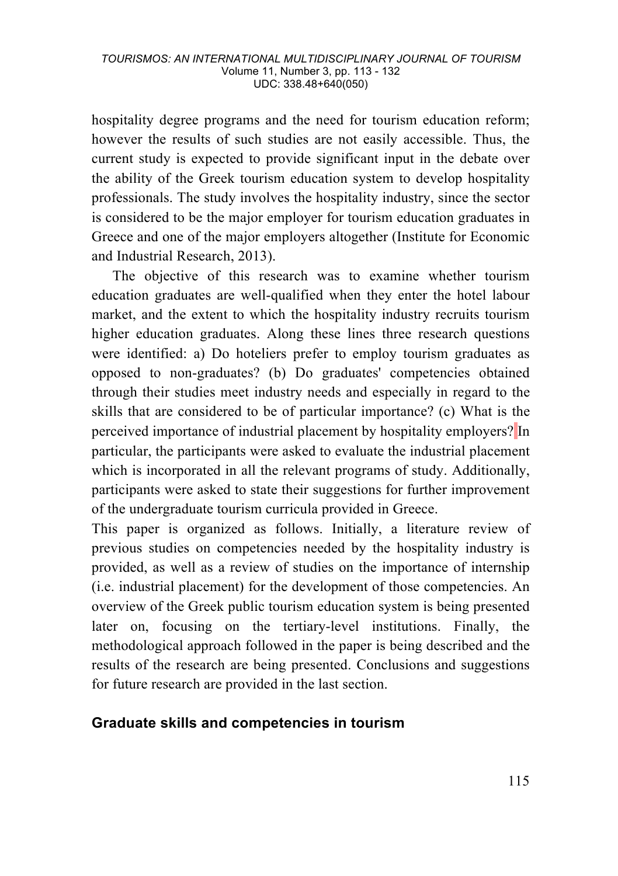hospitality degree programs and the need for tourism education reform; however the results of such studies are not easily accessible. Thus, the current study is expected to provide significant input in the debate over the ability of the Greek tourism education system to develop hospitality professionals. The study involves the hospitality industry, since the sector is considered to be the major employer for tourism education graduates in Greece and one of the major employers altogether (Institute for Economic and Industrial Research, 2013).

The objective of this research was to examine whether tourism education graduates are well-qualified when they enter the hotel labour market, and the extent to which the hospitality industry recruits tourism higher education graduates. Along these lines three research questions were identified: a) Do hoteliers prefer to employ tourism graduates as opposed to non-graduates? (b) Do graduates' competencies obtained through their studies meet industry needs and especially in regard to the skills that are considered to be of particular importance? (c) What is the perceived importance of industrial placement by hospitality employers? In particular, the participants were asked to evaluate the industrial placement which is incorporated in all the relevant programs of study. Additionally, participants were asked to state their suggestions for further improvement of the undergraduate tourism curricula provided in Greece.

This paper is organized as follows. Initially, a literature review of previous studies on competencies needed by the hospitality industry is provided, as well as a review of studies on the importance of internship (i.e. industrial placement) for the development of those competencies. An overview of the Greek public tourism education system is being presented later on, focusing on the tertiary-level institutions. Finally, the methodological approach followed in the paper is being described and the results of the research are being presented. Conclusions and suggestions for future research are provided in the last section.

#### **Graduate skills and competencies in tourism**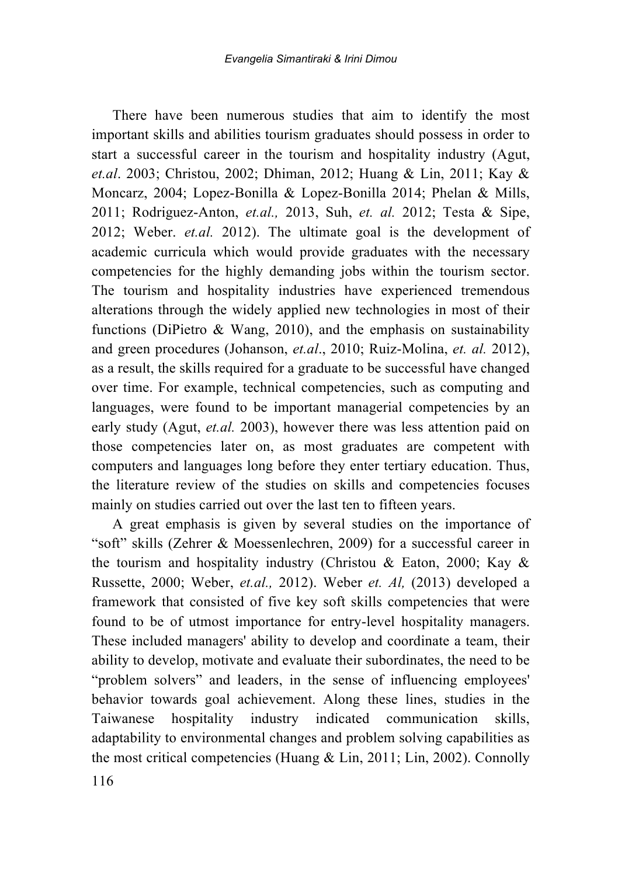There have been numerous studies that aim to identify the most important skills and abilities tourism graduates should possess in order to start a successful career in the tourism and hospitality industry (Agut, *et.al*. 2003; Christou, 2002; Dhiman, 2012; Huang & Lin, 2011; Kay & Moncarz, 2004; Lopez-Bonilla & Lopez-Bonilla 2014; Phelan & Mills, 2011; Rodriguez-Anton, *et.al.,* 2013, Suh, *et. al.* 2012; Testa & Sipe, 2012; Weber. *et.al.* 2012). The ultimate goal is the development of academic curricula which would provide graduates with the necessary competencies for the highly demanding jobs within the tourism sector. The tourism and hospitality industries have experienced tremendous alterations through the widely applied new technologies in most of their functions (DiPietro  $\&$  Wang, 2010), and the emphasis on sustainability and green procedures (Johanson, *et.al*., 2010; Ruiz-Molina, *et. al.* 2012), as a result, the skills required for a graduate to be successful have changed over time. For example, technical competencies, such as computing and languages, were found to be important managerial competencies by an early study (Agut, *et.al.* 2003), however there was less attention paid on those competencies later on, as most graduates are competent with computers and languages long before they enter tertiary education. Thus, the literature review of the studies on skills and competencies focuses mainly on studies carried out over the last ten to fifteen years.

A great emphasis is given by several studies on the importance of "soft" skills (Zehrer & Moessenlechren, 2009) for a successful career in the tourism and hospitality industry (Christou & Eaton, 2000; Kay & Russette, 2000; Weber, *et.al.,* 2012). Weber *et. Al,* (2013) developed a framework that consisted of five key soft skills competencies that were found to be of utmost importance for entry-level hospitality managers. These included managers' ability to develop and coordinate a team, their ability to develop, motivate and evaluate their subordinates, the need to be "problem solvers" and leaders, in the sense of influencing employees' behavior towards goal achievement. Along these lines, studies in the Taiwanese hospitality industry indicated communication skills, adaptability to environmental changes and problem solving capabilities as the most critical competencies (Huang & Lin, 2011; Lin, 2002). Connolly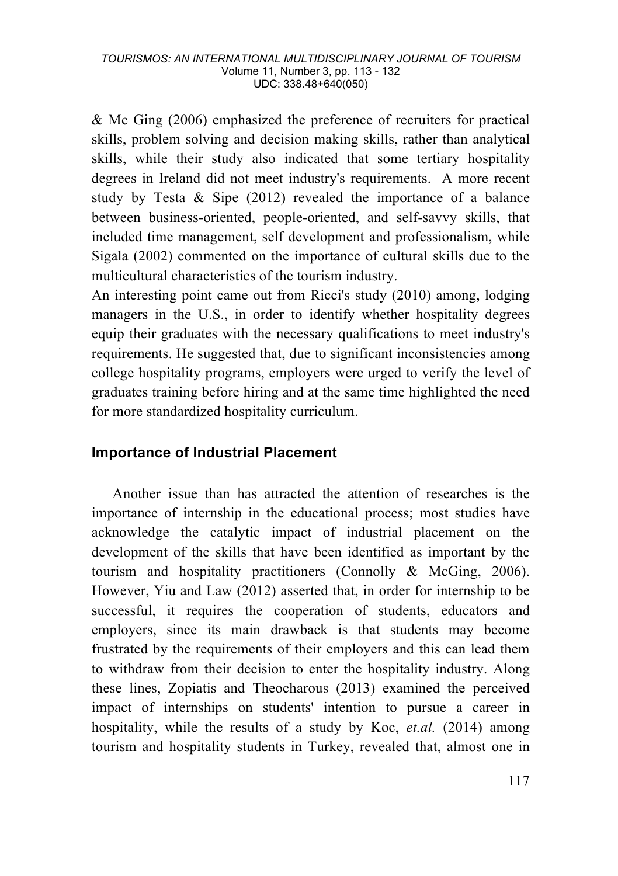& Mc Ging (2006) emphasized the preference of recruiters for practical skills, problem solving and decision making skills, rather than analytical skills, while their study also indicated that some tertiary hospitality degrees in Ireland did not meet industry's requirements. A more recent study by Testa & Sipe (2012) revealed the importance of a balance between business-oriented, people-oriented, and self-savvy skills, that included time management, self development and professionalism, while Sigala (2002) commented on the importance of cultural skills due to the multicultural characteristics of the tourism industry.

An interesting point came out from Ricci's study (2010) among, lodging managers in the U.S., in order to identify whether hospitality degrees equip their graduates with the necessary qualifications to meet industry's requirements. He suggested that, due to significant inconsistencies among college hospitality programs, employers were urged to verify the level of graduates training before hiring and at the same time highlighted the need for more standardized hospitality curriculum.

#### **Importance of Industrial Placement**

Another issue than has attracted the attention of researches is the importance of internship in the educational process; most studies have acknowledge the catalytic impact of industrial placement on the development of the skills that have been identified as important by the tourism and hospitality practitioners (Connolly & McGing, 2006). However, Yiu and Law (2012) asserted that, in order for internship to be successful, it requires the cooperation of students, educators and employers, since its main drawback is that students may become frustrated by the requirements of their employers and this can lead them to withdraw from their decision to enter the hospitality industry. Along these lines, Zopiatis and Theocharous (2013) examined the perceived impact of internships on students' intention to pursue a career in hospitality, while the results of a study by Koc, *et.al.* (2014) among tourism and hospitality students in Turkey, revealed that, almost one in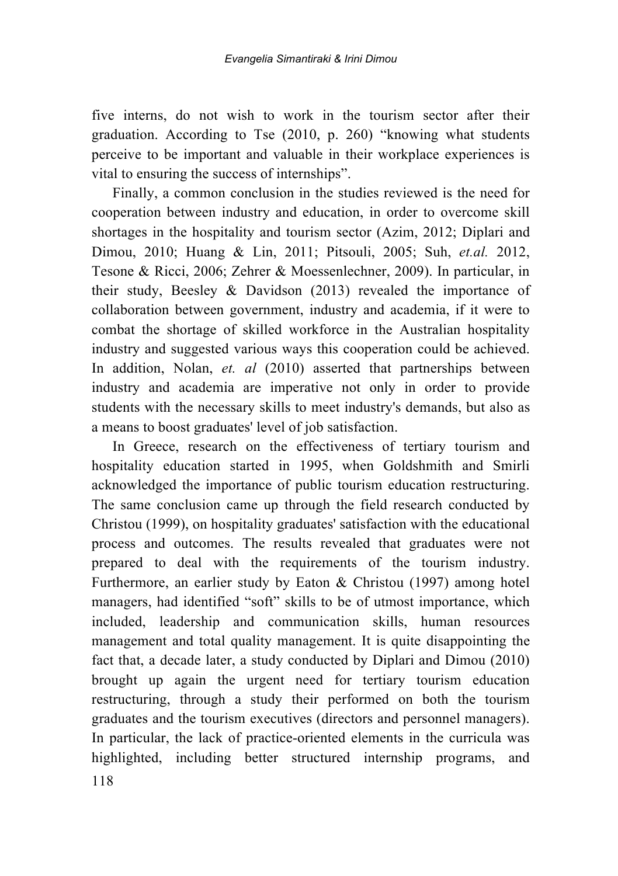five interns, do not wish to work in the tourism sector after their graduation. According to Tse (2010, p. 260) "knowing what students perceive to be important and valuable in their workplace experiences is vital to ensuring the success of internships".

Finally, a common conclusion in the studies reviewed is the need for cooperation between industry and education, in order to overcome skill shortages in the hospitality and tourism sector (Azim, 2012; Diplari and Dimou, 2010; Huang & Lin, 2011; Pitsouli, 2005; Suh, *et.al.* 2012, Tesone & Ricci, 2006; Zehrer & Moessenlechner, 2009). In particular, in their study, Beesley & Davidson (2013) revealed the importance of collaboration between government, industry and academia, if it were to combat the shortage of skilled workforce in the Australian hospitality industry and suggested various ways this cooperation could be achieved. In addition, Nolan, *et. al* (2010) asserted that partnerships between industry and academia are imperative not only in order to provide students with the necessary skills to meet industry's demands, but also as a means to boost graduates' level of job satisfaction.

118 In Greece, research on the effectiveness of tertiary tourism and hospitality education started in 1995, when Goldshmith and Smirli acknowledged the importance of public tourism education restructuring. The same conclusion came up through the field research conducted by Christou (1999), on hospitality graduates' satisfaction with the educational process and outcomes. The results revealed that graduates were not prepared to deal with the requirements of the tourism industry. Furthermore, an earlier study by Eaton & Christou (1997) among hotel managers, had identified "soft" skills to be of utmost importance, which included, leadership and communication skills, human resources management and total quality management. It is quite disappointing the fact that, a decade later, a study conducted by Diplari and Dimou (2010) brought up again the urgent need for tertiary tourism education restructuring, through a study their performed on both the tourism graduates and the tourism executives (directors and personnel managers). In particular, the lack of practice-oriented elements in the curricula was highlighted, including better structured internship programs, and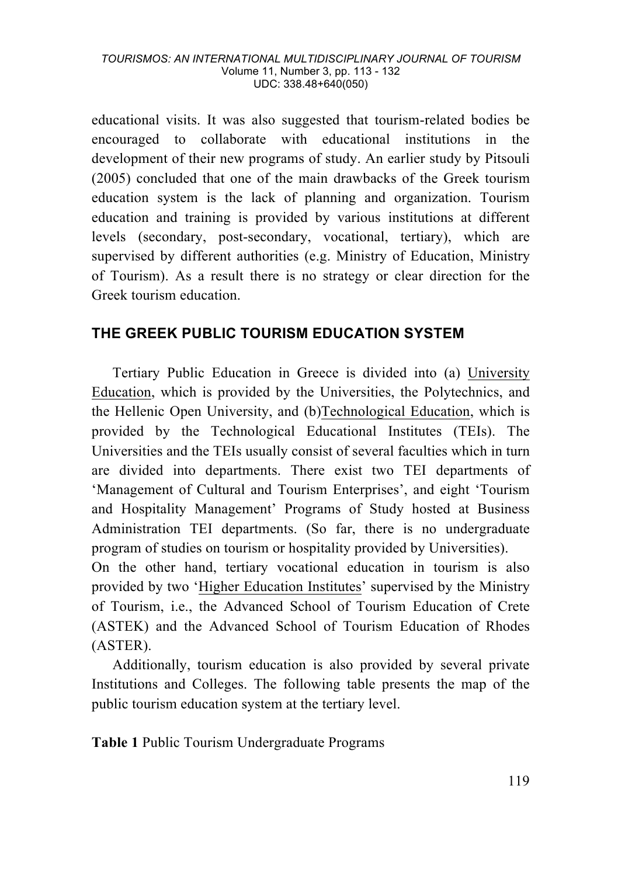educational visits. It was also suggested that tourism-related bodies be encouraged to collaborate with educational institutions in the development of their new programs of study. An earlier study by Pitsouli (2005) concluded that one of the main drawbacks of the Greek tourism education system is the lack of planning and organization. Tourism education and training is provided by various institutions at different levels (secondary, post-secondary, vocational, tertiary), which are supervised by different authorities (e.g. Ministry of Education, Ministry of Tourism). As a result there is no strategy or clear direction for the Greek tourism education.

### **THE GREEK PUBLIC TOURISM EDUCATION SYSTEM**

Tertiary Public Education in Greece is divided into (a) University Education, which is provided by the Universities, the Polytechnics, and the Hellenic Open University, and (b)Technological Education, which is provided by the Technological Educational Institutes (TEIs). The Universities and the TEIs usually consist of several faculties which in turn are divided into departments. There exist two TEI departments of 'Management of Cultural and Tourism Enterprises', and eight 'Tourism and Hospitality Management' Programs of Study hosted at Business Administration TEI departments. (So far, there is no undergraduate program of studies on tourism or hospitality provided by Universities). On the other hand, tertiary vocational education in tourism is also provided by two 'Higher Education Institutes' supervised by the Ministry of Tourism, i.e., the Advanced School of Tourism Education of Crete (ASTEK) and the Advanced School of Tourism Education of Rhodes

(ASTER). Additionally, tourism education is also provided by several private Institutions and Colleges. The following table presents the map of the public tourism education system at the tertiary level.

**Table 1** Public Tourism Undergraduate Programs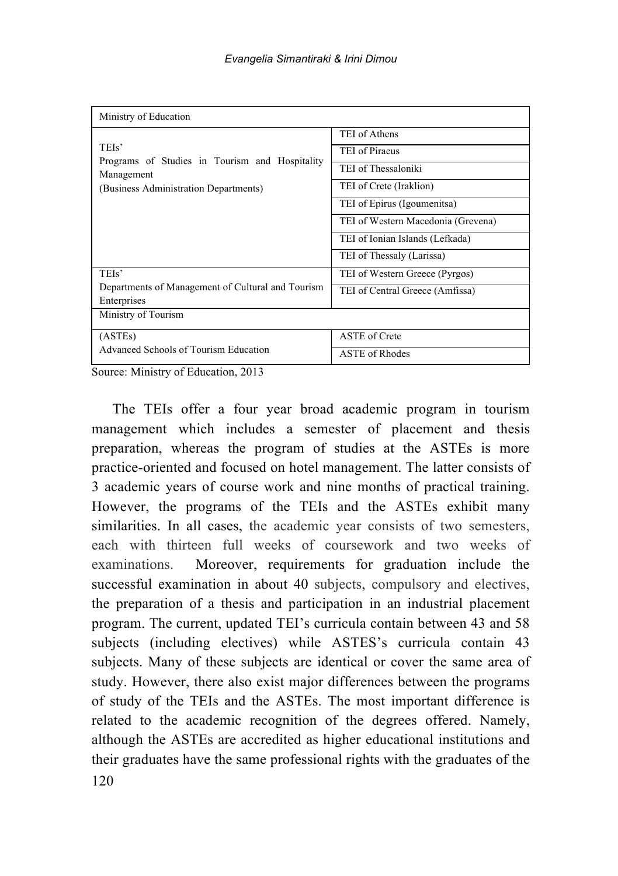| Ministry of Education                                                                                          |                                    |  |
|----------------------------------------------------------------------------------------------------------------|------------------------------------|--|
|                                                                                                                | TEI of Athens                      |  |
| TEIs'<br>Programs of Studies in Tourism and Hospitality<br>Management<br>(Business Administration Departments) | TEI of Piraeus                     |  |
|                                                                                                                | TEI of Thessaloniki                |  |
|                                                                                                                | TEI of Crete (Iraklion)            |  |
|                                                                                                                | TEI of Epirus (Igoumenitsa)        |  |
|                                                                                                                | TEI of Western Macedonia (Grevena) |  |
|                                                                                                                | TEI of Ionian Islands (Lefkada)    |  |
|                                                                                                                | TEI of Thessaly (Larissa)          |  |
| TEIs'                                                                                                          | TEI of Western Greece (Pyrgos)     |  |
| Departments of Management of Cultural and Tourism<br>Enterprises                                               | TEI of Central Greece (Amfissa)    |  |
| Ministry of Tourism                                                                                            |                                    |  |
| (ASTEs)                                                                                                        | <b>ASTE</b> of Crete               |  |
| Advanced Schools of Tourism Education                                                                          | <b>ASTE of Rhodes</b>              |  |

Source: Ministry of Education, 2013

120 The TEIs offer a four year broad academic program in tourism management which includes a semester of placement and thesis preparation, whereas the program of studies at the ASTEs is more practice-oriented and focused on hotel management. The latter consists of 3 academic years of course work and nine months of practical training. However, the programs of the TEIs and the ASTEs exhibit many similarities. In all cases, the academic year consists of two semesters, each with thirteen full weeks of coursework and two weeks of examinations. Moreover, requirements for graduation include the successful examination in about 40 subjects, compulsory and electives, the preparation of a thesis and participation in an industrial placement program. The current, updated TEI's curricula contain between 43 and 58 subjects (including electives) while ASTES's curricula contain 43 subjects. Many of these subjects are identical or cover the same area of study. However, there also exist major differences between the programs of study of the TEIs and the ASTEs. The most important difference is related to the academic recognition of the degrees offered. Namely, although the ASTEs are accredited as higher educational institutions and their graduates have the same professional rights with the graduates of the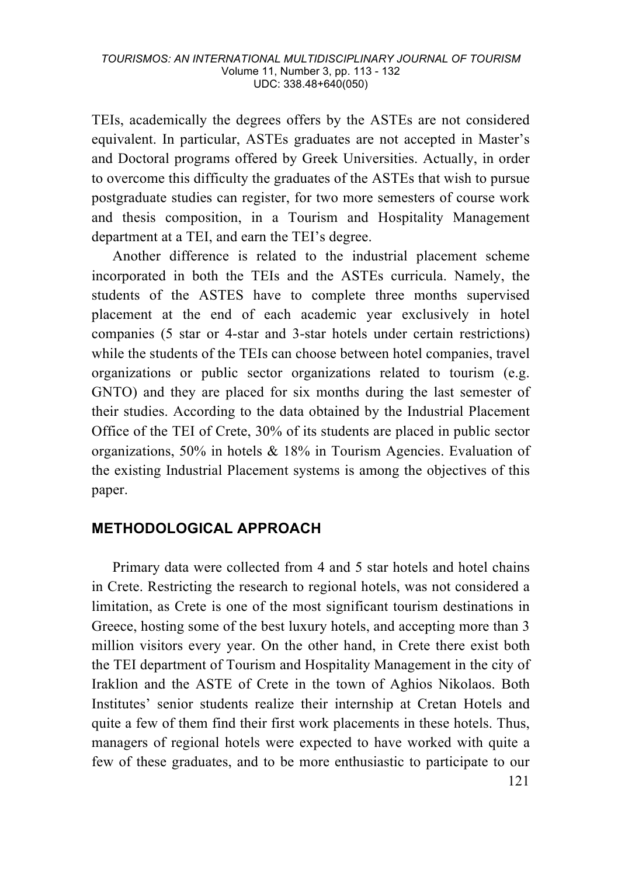TEIs, academically the degrees offers by the ASTEs are not considered equivalent. In particular, ASTEs graduates are not accepted in Master's and Doctoral programs offered by Greek Universities. Actually, in order to overcome this difficulty the graduates of the ASTEs that wish to pursue postgraduate studies can register, for two more semesters of course work and thesis composition, in a Tourism and Hospitality Management department at a TEI, and earn the TEI's degree.

Another difference is related to the industrial placement scheme incorporated in both the TEIs and the ASTEs curricula. Namely, the students of the ASTES have to complete three months supervised placement at the end of each academic year exclusively in hotel companies (5 star or 4-star and 3-star hotels under certain restrictions) while the students of the TEIs can choose between hotel companies, travel organizations or public sector organizations related to tourism (e.g. GNTO) and they are placed for six months during the last semester of their studies. According to the data obtained by the Industrial Placement Office of the TEI of Crete, 30% of its students are placed in public sector organizations, 50% in hotels & 18% in Tourism Agencies. Evaluation of the existing Industrial Placement systems is among the objectives of this paper.

#### **METHODOLOGICAL APPROACH**

Primary data were collected from 4 and 5 star hotels and hotel chains in Crete. Restricting the research to regional hotels, was not considered a limitation, as Crete is one of the most significant tourism destinations in Greece, hosting some of the best luxury hotels, and accepting more than 3 million visitors every year. On the other hand, in Crete there exist both the TEI department of Tourism and Hospitality Management in the city of Iraklion and the ASTE of Crete in the town of Aghios Nikolaos. Both Institutes' senior students realize their internship at Cretan Hotels and quite a few of them find their first work placements in these hotels. Thus, managers of regional hotels were expected to have worked with quite a few of these graduates, and to be more enthusiastic to participate to our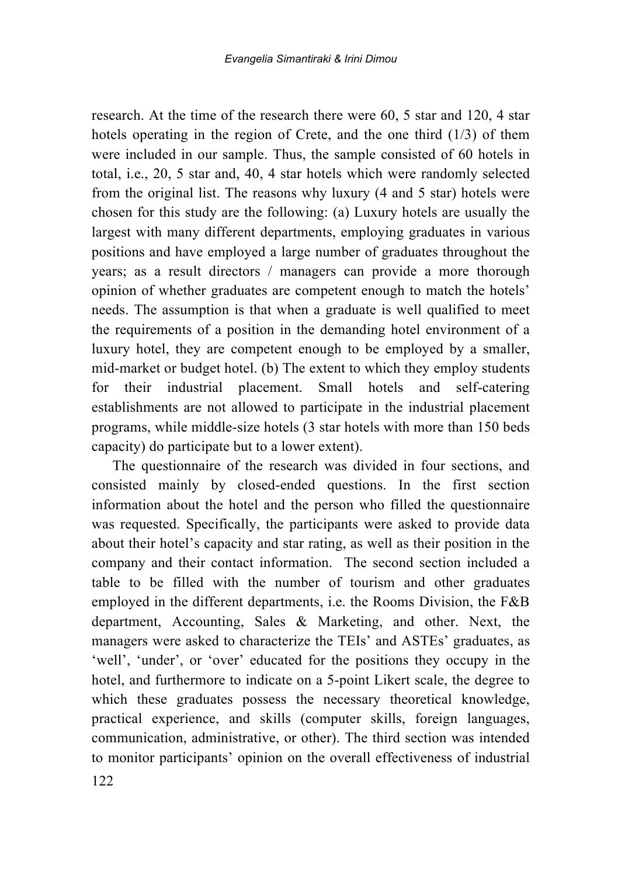research. At the time of the research there were 60, 5 star and 120, 4 star hotels operating in the region of Crete, and the one third (1/3) of them were included in our sample. Thus, the sample consisted of 60 hotels in total, i.e., 20, 5 star and, 40, 4 star hotels which were randomly selected from the original list. The reasons why luxury (4 and 5 star) hotels were chosen for this study are the following: (a) Luxury hotels are usually the largest with many different departments, employing graduates in various positions and have employed a large number of graduates throughout the years; as a result directors / managers can provide a more thorough opinion of whether graduates are competent enough to match the hotels' needs. The assumption is that when a graduate is well qualified to meet the requirements of a position in the demanding hotel environment of a luxury hotel, they are competent enough to be employed by a smaller, mid-market or budget hotel. (b) The extent to which they employ students for their industrial placement. Small hotels and self-catering establishments are not allowed to participate in the industrial placement programs, while middle-size hotels (3 star hotels with more than 150 beds capacity) do participate but to a lower extent).

The questionnaire of the research was divided in four sections, and consisted mainly by closed-ended questions. In the first section information about the hotel and the person who filled the questionnaire was requested. Specifically, the participants were asked to provide data about their hotel's capacity and star rating, as well as their position in the company and their contact information. The second section included a table to be filled with the number of tourism and other graduates employed in the different departments, i.e. the Rooms Division, the F&B department, Accounting, Sales & Marketing, and other. Next, the managers were asked to characterize the TEIs' and ASTEs' graduates, as 'well', 'under', or 'over' educated for the positions they occupy in the hotel, and furthermore to indicate on a 5-point Likert scale, the degree to which these graduates possess the necessary theoretical knowledge, practical experience, and skills (computer skills, foreign languages, communication, administrative, or other). The third section was intended to monitor participants' opinion on the overall effectiveness of industrial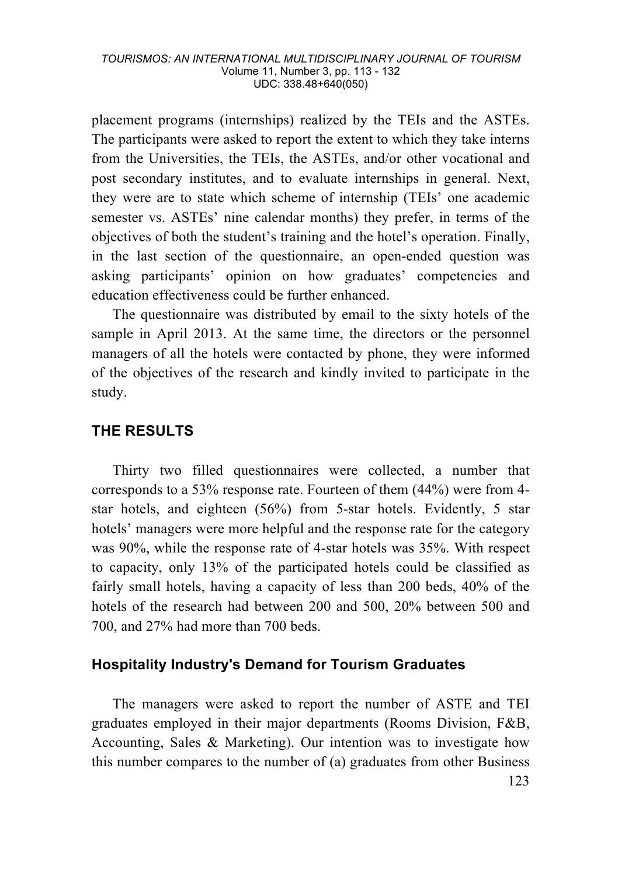placement programs (internships) realized by the TEIs and the ASTEs. The participants were asked to report the extent to which they take interns from the Universities, the TEIs, the ASTEs, and/or other vocational and post secondary institutes, and to evaluate internships in general. Next, they were are to state which scheme of internship (TEIs' one academic semester vs. ASTEs' nine calendar months) they prefer, in terms of the objectives of both the student's training and the hotel's operation. Finally, in the last section of the questionnaire, an open-ended question was asking participants' opinion on how graduates' competencies and education effectiveness could be further enhanced.

The questionnaire was distributed by email to the sixty hotels of the sample in April 2013. At the same time, the directors or the personnel managers of all the hotels were contacted by phone, they were informed of the objectives of the research and kindly invited to participate in the study.

### **THE RESULTS**

Thirty two filled questionnaires were collected, a number that corresponds to a 53% response rate. Fourteen of them (44%) were from 4 star hotels, and eighteen (56%) from 5-star hotels. Evidently, 5 star hotels' managers were more helpful and the response rate for the category was 90%, while the response rate of 4-star hotels was 35%. With respect to capacity, only 13% of the participated hotels could be classified as fairly small hotels, having a capacity of less than 200 beds, 40% of the hotels of the research had between 200 and 500, 20% between 500 and 700, and 27% had more than 700 beds.

#### **Hospitality Industry's Demand for Tourism Graduates**

The managers were asked to report the number of ASTE and TEI graduates employed in their major departments (Rooms Division, F&B, Accounting, Sales & Marketing). Our intention was to investigate how this number compares to the number of (a) graduates from other Business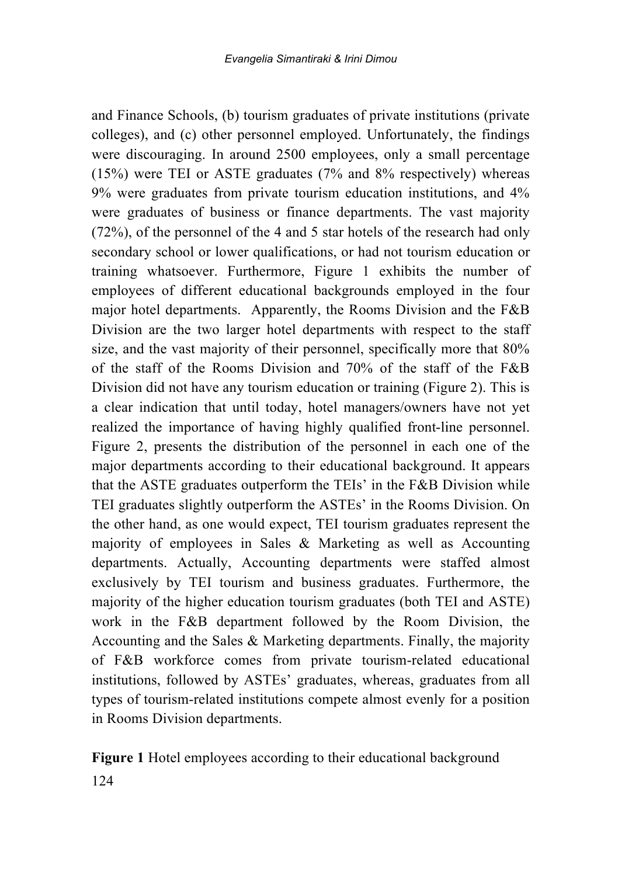and Finance Schools, (b) tourism graduates of private institutions (private colleges), and (c) other personnel employed. Unfortunately, the findings were discouraging. In around 2500 employees, only a small percentage (15%) were TEI or ASTE graduates (7% and 8% respectively) whereas 9% were graduates from private tourism education institutions, and 4% were graduates of business or finance departments. The vast majority (72%), of the personnel of the 4 and 5 star hotels of the research had only secondary school or lower qualifications, or had not tourism education or training whatsoever. Furthermore, Figure 1 exhibits the number of employees of different educational backgrounds employed in the four major hotel departments. Apparently, the Rooms Division and the F&B Division are the two larger hotel departments with respect to the staff size, and the vast majority of their personnel, specifically more that 80% of the staff of the Rooms Division and 70% of the staff of the F&B Division did not have any tourism education or training (Figure 2). This is a clear indication that until today, hotel managers/owners have not yet realized the importance of having highly qualified front-line personnel. Figure 2, presents the distribution of the personnel in each one of the major departments according to their educational background. It appears that the ASTE graduates outperform the TEIs' in the F&B Division while TEI graduates slightly outperform the ASTEs' in the Rooms Division. On the other hand, as one would expect, TEI tourism graduates represent the majority of employees in Sales & Marketing as well as Accounting departments. Actually, Accounting departments were staffed almost exclusively by TEI tourism and business graduates. Furthermore, the majority of the higher education tourism graduates (both TEI and ASTE) work in the F&B department followed by the Room Division, the Accounting and the Sales & Marketing departments. Finally, the majority of F&B workforce comes from private tourism-related educational institutions, followed by ASTEs' graduates, whereas, graduates from all types of tourism-related institutions compete almost evenly for a position in Rooms Division departments.

**Figure 1** Hotel employees according to their educational background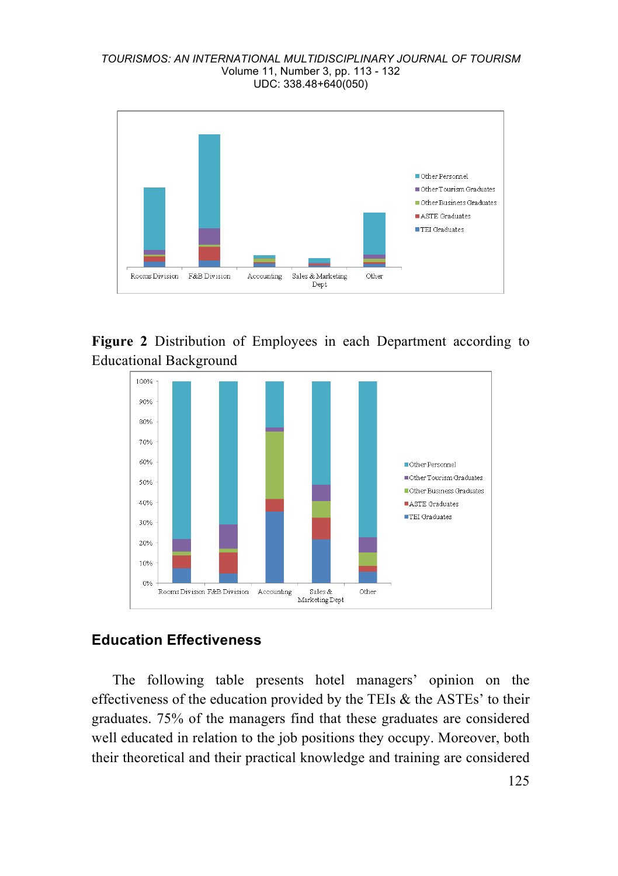#### *TOURISMOS: AN INTERNATIONAL MULTIDISCIPLINARY JOURNAL OF TOURISM* Volume 11, Number 3, pp. 113 - 132 UDC: 338.48+640(050)



### **Figure 2** Distribution of Employees in each Department according to Educational Background



### **Education Effectiveness**

The following table presents hotel managers' opinion on the effectiveness of the education provided by the TEIs  $\&$  the ASTEs' to their graduates. 75% of the managers find that these graduates are considered well educated in relation to the job positions they occupy. Moreover, both their theoretical and their practical knowledge and training are considered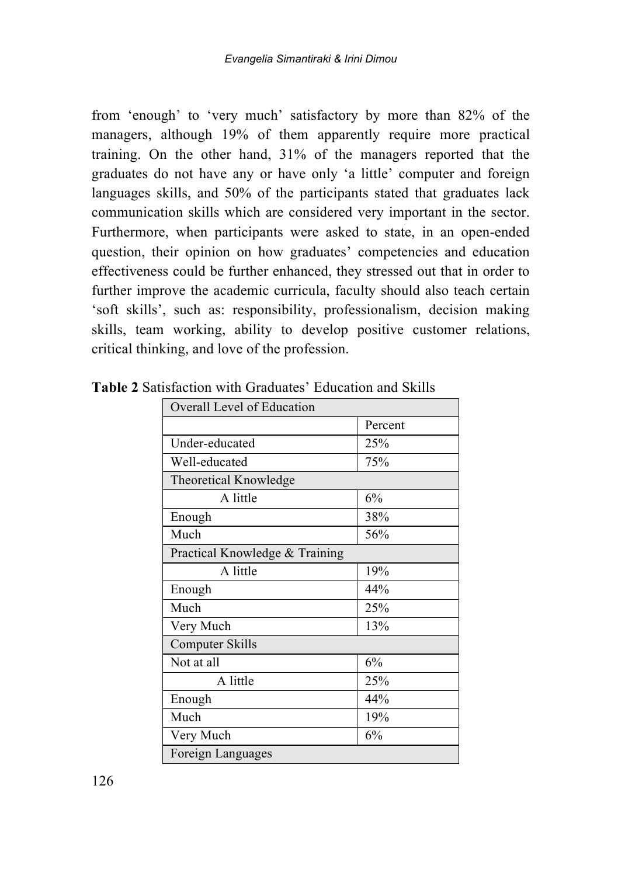from 'enough' to 'very much' satisfactory by more than 82% of the managers, although 19% of them apparently require more practical training. On the other hand, 31% of the managers reported that the graduates do not have any or have only 'a little' computer and foreign languages skills, and 50% of the participants stated that graduates lack communication skills which are considered very important in the sector. Furthermore, when participants were asked to state, in an open-ended question, their opinion on how graduates' competencies and education effectiveness could be further enhanced, they stressed out that in order to further improve the academic curricula, faculty should also teach certain 'soft skills', such as: responsibility, professionalism, decision making skills, team working, ability to develop positive customer relations, critical thinking, and love of the profession.

| Overall Level of Education     |         |  |
|--------------------------------|---------|--|
|                                | Percent |  |
| Under-educated                 | 25%     |  |
| Well-educated                  | 75%     |  |
| Theoretical Knowledge          |         |  |
| A little                       | 6%      |  |
| Enough                         | 38%     |  |
| Much                           | 56%     |  |
| Practical Knowledge & Training |         |  |
| A little                       | 19%     |  |
| Enough                         | 44%     |  |
| Much                           | 25%     |  |
| Very Much                      | 13%     |  |
| Computer Skills                |         |  |
| Not at all                     | 6%      |  |
| A little                       | 25%     |  |
| Enough                         | 44%     |  |
| Much                           | 19%     |  |
| Very Much                      | 6%      |  |
| Foreign Languages              |         |  |

**Table 2** Satisfaction with Graduates' Education and Skills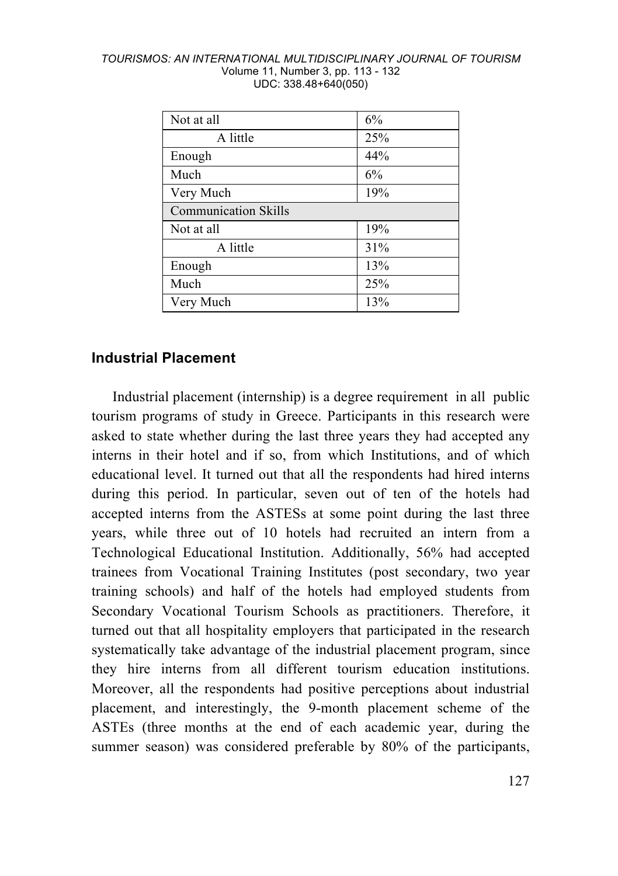| TOURISMOS: AN INTERNATIONAL MULTIDISCIPLINARY JOURNAL OF TOURISM |  |
|------------------------------------------------------------------|--|
| Volume 11, Number 3, pp. 113 - 132                               |  |
| UDC: 338.48+640(050)                                             |  |

| Not at all                  | 6%  |  |
|-----------------------------|-----|--|
| A little                    | 25% |  |
| Enough                      | 44% |  |
| Much                        | 6%  |  |
| Very Much                   | 19% |  |
| <b>Communication Skills</b> |     |  |
| Not at all                  | 19% |  |
| A little                    | 31% |  |
| Enough                      | 13% |  |
| Much                        | 25% |  |
| Very Much                   | 13% |  |

#### **Industrial Placement**

Industrial placement (internship) is a degree requirement in all public tourism programs of study in Greece. Participants in this research were asked to state whether during the last three years they had accepted any interns in their hotel and if so, from which Institutions, and of which educational level. It turned out that all the respondents had hired interns during this period. In particular, seven out of ten of the hotels had accepted interns from the ASTESs at some point during the last three years, while three out of 10 hotels had recruited an intern from a Technological Educational Institution. Additionally, 56% had accepted trainees from Vocational Training Institutes (post secondary, two year training schools) and half of the hotels had employed students from Secondary Vocational Tourism Schools as practitioners. Therefore, it turned out that all hospitality employers that participated in the research systematically take advantage of the industrial placement program, since they hire interns from all different tourism education institutions. Moreover, all the respondents had positive perceptions about industrial placement, and interestingly, the 9-month placement scheme of the ASTEs (three months at the end of each academic year, during the summer season) was considered preferable by 80% of the participants,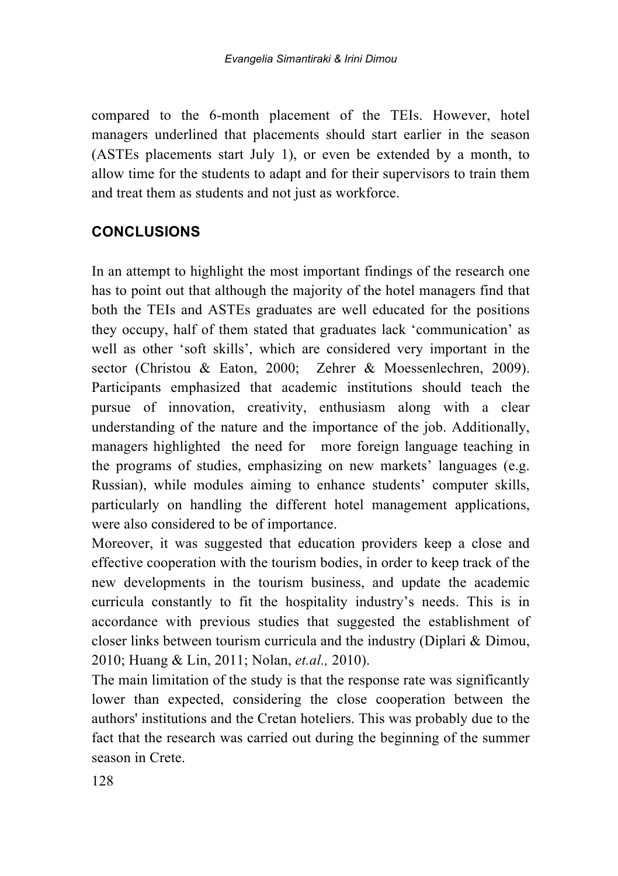compared to the 6-month placement of the TEIs. However, hotel managers underlined that placements should start earlier in the season (ASTEs placements start July 1), or even be extended by a month, to allow time for the students to adapt and for their supervisors to train them and treat them as students and not just as workforce.

## **CONCLUSIONS**

In an attempt to highlight the most important findings of the research one has to point out that although the majority of the hotel managers find that both the TEIs and ASTEs graduates are well educated for the positions they occupy, half of them stated that graduates lack 'communication' as well as other 'soft skills', which are considered very important in the sector (Christou & Eaton, 2000; Zehrer & Moessenlechren, 2009). Participants emphasized that academic institutions should teach the pursue of innovation, creativity, enthusiasm along with a clear understanding of the nature and the importance of the job. Additionally, managers highlighted the need for more foreign language teaching in the programs of studies, emphasizing on new markets' languages (e.g. Russian), while modules aiming to enhance students' computer skills, particularly on handling the different hotel management applications, were also considered to be of importance.

Moreover, it was suggested that education providers keep a close and effective cooperation with the tourism bodies, in order to keep track of the new developments in the tourism business, and update the academic curricula constantly to fit the hospitality industry's needs. This is in accordance with previous studies that suggested the establishment of closer links between tourism curricula and the industry (Diplari & Dimou, 2010; Huang & Lin, 2011; Nolan, *et.al.,* 2010).

The main limitation of the study is that the response rate was significantly lower than expected, considering the close cooperation between the authors' institutions and the Cretan hoteliers. This was probably due to the fact that the research was carried out during the beginning of the summer season in Crete.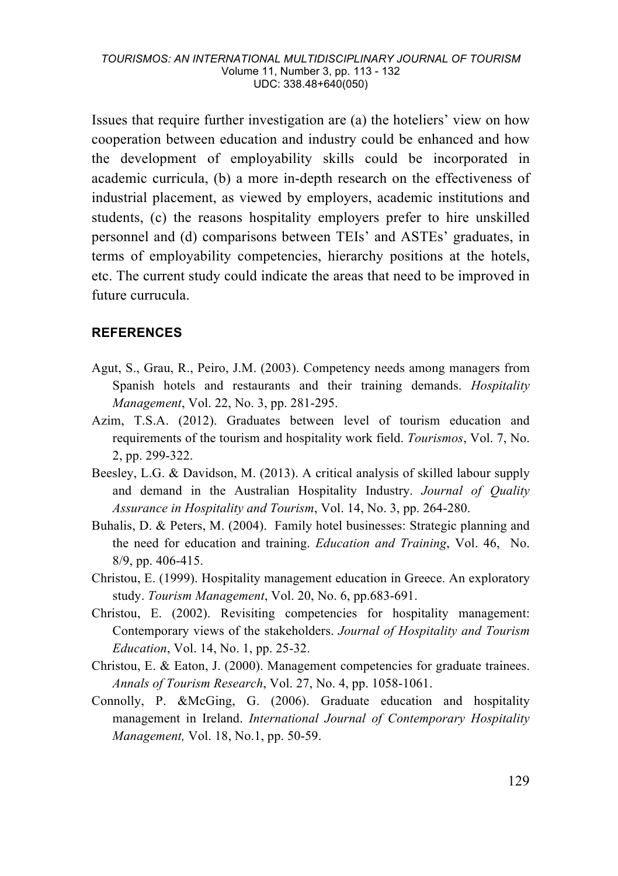Issues that require further investigation are (a) the hoteliers' view on how cooperation between education and industry could be enhanced and how the development of employability skills could be incorporated in academic curricula, (b) a more in-depth research on the effectiveness of industrial placement, as viewed by employers, academic institutions and students, (c) the reasons hospitality employers prefer to hire unskilled personnel and (d) comparisons between TEIs' and ASTEs' graduates, in terms of employability competencies, hierarchy positions at the hotels, etc. The current study could indicate the areas that need to be improved in future currucula.

#### **REFERENCES**

- Agut, S., Grau, R., Peiro, J.M. (2003). Competency needs among managers from Spanish hotels and restaurants and their training demands. *Hospitality Management*, Vol. 22, No. 3, pp. 281-295.
- Azim, T.S.A. (2012). Graduates between level of tourism education and requirements of the tourism and hospitality work field. *Tourismos*, Vol. 7, No. 2, pp. 299-322.
- Beesley, L.G. & Davidson, M. (2013). A critical analysis of skilled labour supply and demand in the Australian Hospitality Industry. *Journal of Quality Assurance in Hospitality and Tourism*, Vol. 14, No. 3, pp. 264-280.
- Buhalis, D. & Peters, M. (2004). Family hotel businesses: Strategic planning and the need for education and training. *Education and Training*, Vol. 46, No. 8/9, pp. 406-415.
- Christou, E. (1999). Hospitality management education in Greece. An exploratory study. *Tourism Management*, Vol. 20, No. 6, pp.683-691.
- Christou, E. (2002). Revisiting competencies for hospitality management: Contemporary views of the stakeholders. *Journal of Hospitality and Tourism Education*, Vol. 14, No. 1, pp. 25-32.
- Christou, E. & Eaton, J. (2000). Management competencies for graduate trainees. *Annals of Tourism Research*, Vol. 27, No. 4, pp. 1058-1061.
- Connolly, P. &McGing, G. (2006). Graduate education and hospitality management in Ireland. *International Journal of Contemporary Hospitality Management,* Vol. 18, No.1, pp. 50-59.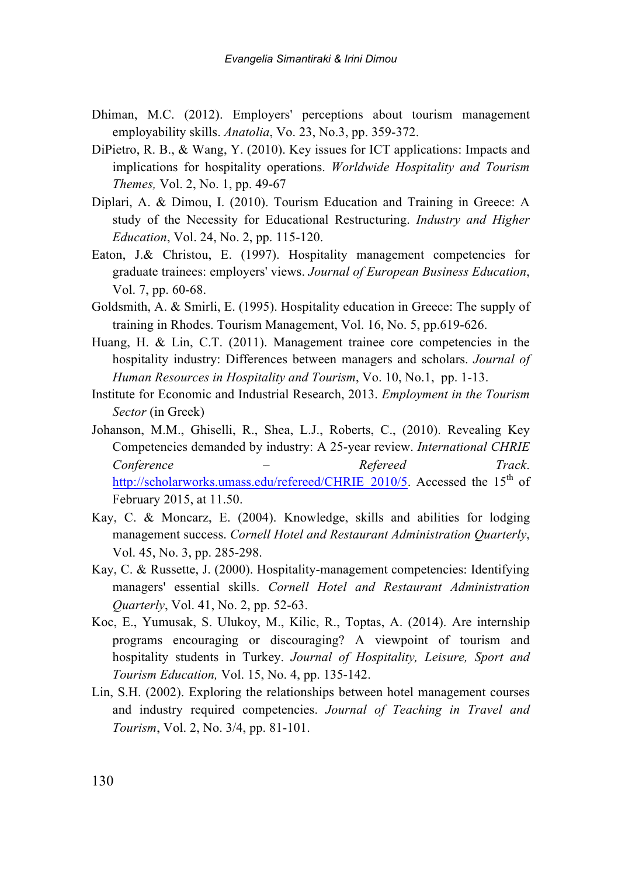- Dhiman, M.C. (2012). Employers' perceptions about tourism management employability skills. *Anatolia*, Vo. 23, No.3, pp. 359-372.
- DiPietro, R. B., & Wang, Y. (2010). Key issues for ICT applications: Impacts and implications for hospitality operations. *Worldwide Hospitality and Tourism Themes,* Vol. 2, No. 1, pp. 49-67
- Diplari, A. & Dimou, I. (2010). Tourism Education and Training in Greece: A study of the Necessity for Educational Restructuring. *Industry and Higher Education*, Vol. 24, No. 2, pp. 115-120.
- Eaton, J.& Christou, E. (1997). Hospitality management competencies for graduate trainees: employers' views. *Journal of European Business Education*, Vol. 7, pp. 60-68.
- Goldsmith, A. & Smirli, E. (1995). Hospitality education in Greece: The supply of training in Rhodes. Tourism Management, Vol. 16, No. 5, pp.619-626.
- Huang, H. & Lin, C.T. (2011). Management trainee core competencies in the hospitality industry: Differences between managers and scholars. *Journal of Human Resources in Hospitality and Tourism*, Vo. 10, No.1, pp. 1-13.
- Institute for Economic and Industrial Research, 2013. *Employment in the Tourism Sector* (in Greek)
- Johanson, M.M., Ghiselli, R., Shea, L.J., Roberts, C., (2010). Revealing Key Competencies demanded by industry: A 25-year review. *International CHRIE Conference – Refereed Track*. http://scholarworks.umass.edu/refereed/CHRIE\_2010/5. Accessed the 15<sup>th</sup> of February 2015, at 11.50.
- Kay, C. & Moncarz, E. (2004). Knowledge, skills and abilities for lodging management success. *Cornell Hotel and Restaurant Administration Quarterly*, Vol. 45, No. 3, pp. 285-298.
- Kay, C. & Russette, J. (2000). Hospitality-management competencies: Identifying managers' essential skills. *Cornell Hotel and Restaurant Administration Quarterly*, Vol. 41, No. 2, pp. 52-63.
- Koc, E., Yumusak, S. Ulukoy, M., Kilic, R., Toptas, A. (2014). Are internship programs encouraging or discouraging? A viewpoint of tourism and hospitality students in Turkey. *Journal of Hospitality, Leisure, Sport and Tourism Education,* Vol. 15, No. 4, pp. 135-142.
- Lin, S.H. (2002). Exploring the relationships between hotel management courses and industry required competencies. *Journal of Teaching in Travel and Tourism*, Vol. 2, No. 3/4, pp. 81-101.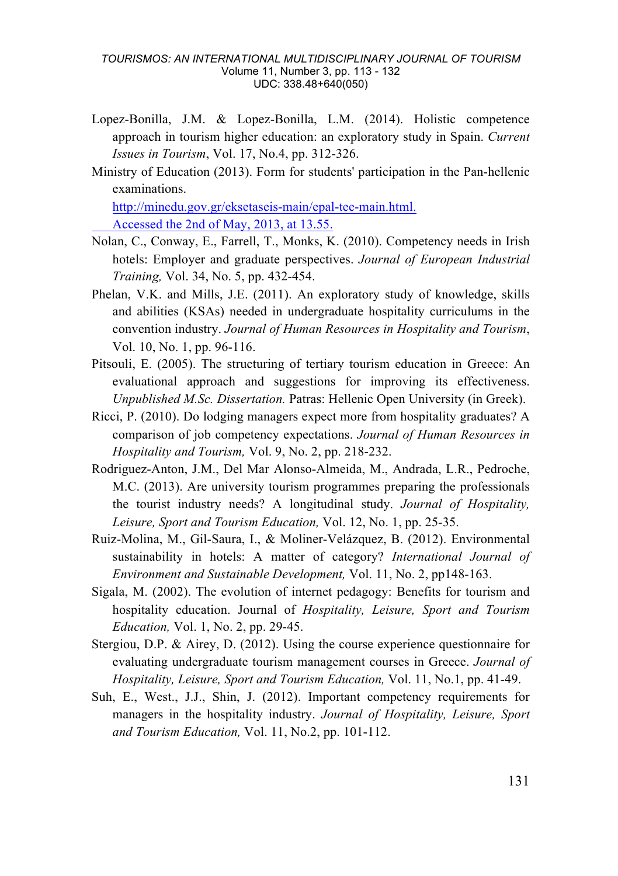#### *TOURISMOS: AN INTERNATIONAL MULTIDISCIPLINARY JOURNAL OF TOURISM* Volume 11, Number 3, pp. 113 - 132 UDC: 338.48+640(050)

- Lopez-Bonilla, J.M. & Lopez-Bonilla, L.M. (2014). Holistic competence approach in tourism higher education: an exploratory study in Spain. *Current Issues in Tourism*, Vol. 17, No.4, pp. 312-326.
- Ministry of Education (2013). Form for students' participation in the Pan-hellenic examinations.

http://minedu.gov.gr/eksetaseis-main/epal-tee-main.html. Accessed the 2nd of May, 2013, at 13.55.

- Nolan, C., Conway, E., Farrell, T., Monks, K. (2010). Competency needs in Irish hotels: Employer and graduate perspectives. *Journal of European Industrial Training,* Vol. 34, No. 5, pp. 432-454.
- Phelan, V.K. and Mills, J.E. (2011). An exploratory study of knowledge, skills and abilities (KSAs) needed in undergraduate hospitality curriculums in the convention industry. *Journal of Human Resources in Hospitality and Tourism*, Vol. 10, No. 1, pp. 96-116.
- Pitsouli, E. (2005). The structuring of tertiary tourism education in Greece: An evaluational approach and suggestions for improving its effectiveness. *Unpublished M.Sc. Dissertation.* Patras: Hellenic Open University (in Greek).
- Ricci, P. (2010). Do lodging managers expect more from hospitality graduates? A comparison of job competency expectations. *Journal of Human Resources in Hospitality and Tourism,* Vol. 9, No. 2, pp. 218-232.
- Rodriguez-Anton, J.M., Del Mar Alonso-Almeida, M., Andrada, L.R., Pedroche, M.C. (2013). Are university tourism programmes preparing the professionals the tourist industry needs? A longitudinal study. *Journal of Hospitality, Leisure, Sport and Tourism Education,* Vol. 12, No. 1, pp. 25-35.
- Ruiz-Molina, M., Gil-Saura, I., & Moliner-Velázquez, B. (2012). Environmental sustainability in hotels: A matter of category? *International Journal of Environment and Sustainable Development,* Vol. 11, No. 2, pp148-163.
- Sigala, M. (2002). The evolution of internet pedagogy: Benefits for tourism and hospitality education. Journal of *Hospitality, Leisure, Sport and Tourism Education,* Vol. 1, No. 2, pp. 29-45.
- Stergiou, D.P. & Airey, D. (2012). Using the course experience questionnaire for evaluating undergraduate tourism management courses in Greece. *Journal of Hospitality, Leisure, Sport and Tourism Education,* Vol. 11, No.1, pp. 41-49.
- Suh, E., West., J.J., Shin, J. (2012). Important competency requirements for managers in the hospitality industry. *Journal of Hospitality, Leisure, Sport and Tourism Education,* Vol. 11, No.2, pp. 101-112.